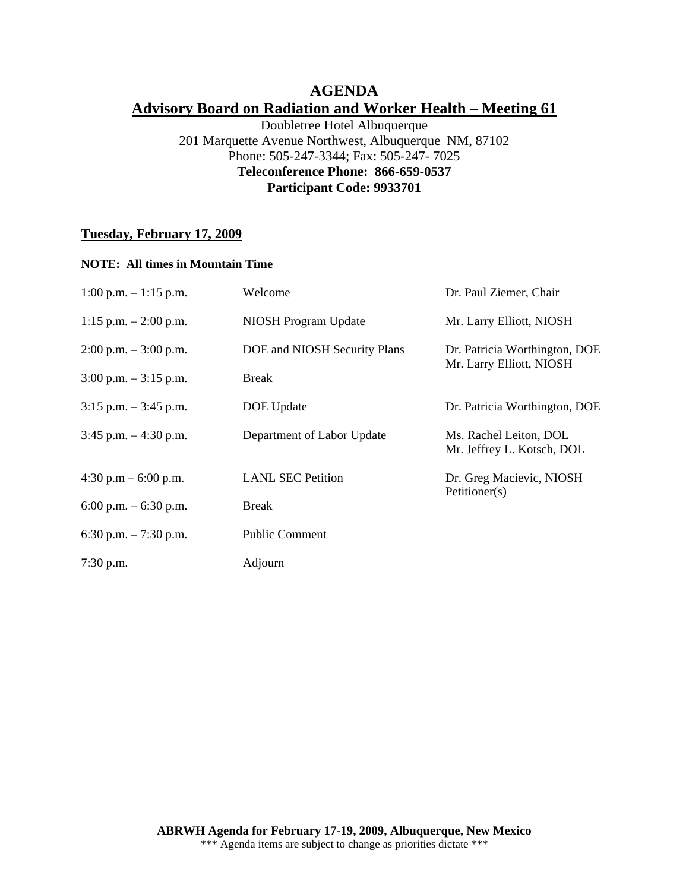# **AGENDA Advisory Board on Radiation and Worker Health – Meeting 61**

Doubletree Hotel Albuquerque 201 Marquette Avenue Northwest, Albuquerque NM, 87102 Phone: 505-247-3344; Fax: 505-247- 7025 **Teleconference Phone: 866-659-0537 Participant Code: 9933701** 

### **Tuesday, February 17, 2009**

#### **NOTE: All times in Mountain Time**

| $1:00$ p.m. $-1:15$ p.m. | Welcome                      | Dr. Paul Ziemer, Chair                                    |
|--------------------------|------------------------------|-----------------------------------------------------------|
| 1:15 p.m. $- 2:00$ p.m.  | <b>NIOSH Program Update</b>  | Mr. Larry Elliott, NIOSH                                  |
| $2:00$ p.m. $-3:00$ p.m. | DOE and NIOSH Security Plans | Dr. Patricia Worthington, DOE<br>Mr. Larry Elliott, NIOSH |
| $3:00$ p.m. $-3:15$ p.m. | <b>Break</b>                 |                                                           |
| $3:15$ p.m. $-3:45$ p.m. | DOE Update                   | Dr. Patricia Worthington, DOE                             |
| $3:45$ p.m. $-4:30$ p.m. | Department of Labor Update   | Ms. Rachel Leiton, DOL<br>Mr. Jeffrey L. Kotsch, DOL      |
| 4:30 p.m $-$ 6:00 p.m.   | <b>LANL SEC Petition</b>     | Dr. Greg Macievic, NIOSH<br>Petitioner(s)                 |
| 6:00 p.m. $-$ 6:30 p.m.  | <b>Break</b>                 |                                                           |
| 6:30 p.m. $-7:30$ p.m.   | <b>Public Comment</b>        |                                                           |
| $7:30$ p.m.              | Adjourn                      |                                                           |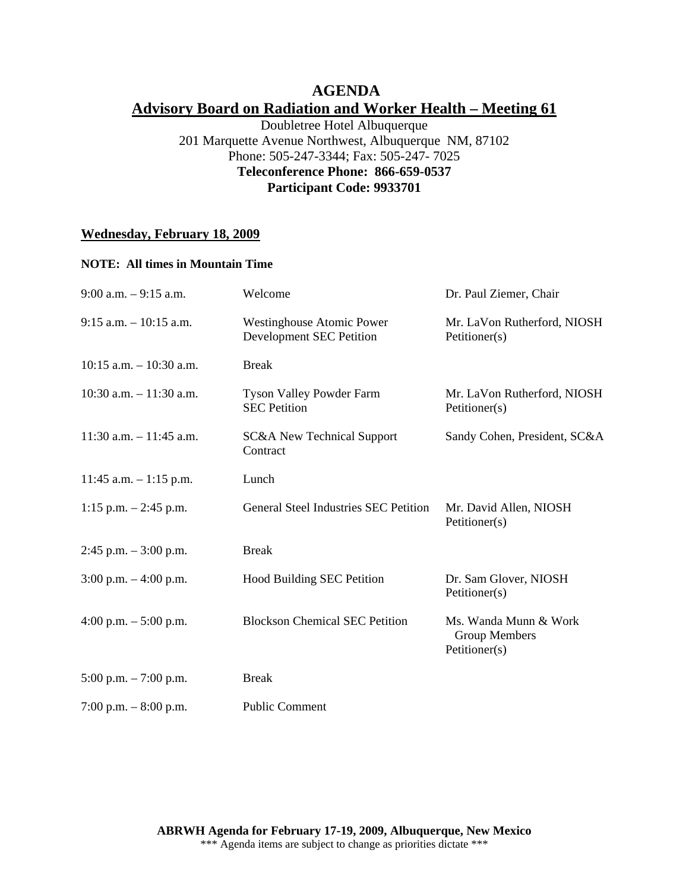## **AGENDA Advisory Board on Radiation and Worker Health – Meeting 61**

Doubletree Hotel Albuquerque 201 Marquette Avenue Northwest, Albuquerque NM, 87102 Phone: 505-247-3344; Fax: 505-247- 7025 **Teleconference Phone: 866-659-0537 Participant Code: 9933701** 

## **Wednesday, February 18, 2009**

#### **NOTE: All times in Mountain Time**

| $9:00$ a.m. $-9:15$ a.m.   | Welcome                                                             | Dr. Paul Ziemer, Chair                                  |
|----------------------------|---------------------------------------------------------------------|---------------------------------------------------------|
| $9:15$ a.m. $-10:15$ a.m.  | <b>Westinghouse Atomic Power</b><br><b>Development SEC Petition</b> | Mr. LaVon Rutherford, NIOSH<br>Petitioner(s)            |
| $10:15$ a.m. $-10:30$ a.m. | <b>Break</b>                                                        |                                                         |
| $10:30$ a.m. $-11:30$ a.m. | <b>Tyson Valley Powder Farm</b><br><b>SEC</b> Petition              | Mr. LaVon Rutherford, NIOSH<br>Petitioner(s)            |
| $11:30$ a.m. $-11:45$ a.m. | <b>SC&amp;A New Technical Support</b><br>Contract                   | Sandy Cohen, President, SC&A                            |
| $11:45$ a.m. $-1:15$ p.m.  | Lunch                                                               |                                                         |
| 1:15 p.m. $-2:45$ p.m.     | General Steel Industries SEC Petition                               | Mr. David Allen, NIOSH<br>Petitioner(s)                 |
| $2:45$ p.m. $-3:00$ p.m.   | <b>Break</b>                                                        |                                                         |
| $3:00$ p.m. $-4:00$ p.m.   | <b>Hood Building SEC Petition</b>                                   | Dr. Sam Glover, NIOSH<br>Petitioner(s)                  |
| 4:00 p.m. $-$ 5:00 p.m.    | <b>Blockson Chemical SEC Petition</b>                               | Ms. Wanda Munn & Work<br>Group Members<br>Petitioner(s) |
| $5:00$ p.m. $-7:00$ p.m.   | <b>Break</b>                                                        |                                                         |
| 7:00 p.m. $-8:00$ p.m.     | <b>Public Comment</b>                                               |                                                         |